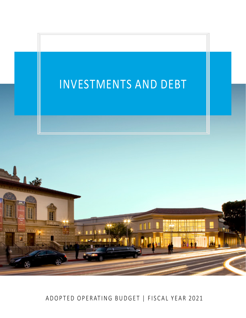

ADOPTED OPERATING BUDGET | FISCAL YEAR 2021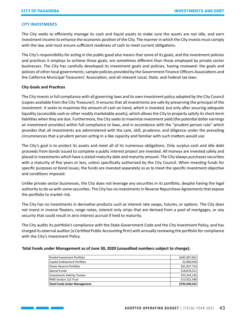# **CITY INVESTMENTS**

The City seeks to efficiently manage its cash and liquid assets to make sure the assets are not idle, and earn investment income to enhance the economic position of the City. The manner in which the City invests must comply with the law, and must ensure sufficient readiness of cash to meet current obligations.

The City's responsibility for acting in the public good also means that some of its goals, and the investment policies and practices it employs to achieve those goals, are sometimes different than those employed by private sector businesses. The City has carefully developed its investment goals and policies, having reviewed: the goals and policies of other local governments; sample policies provided by the Government Finance Officers Associations and the California Municipal Treasurers' Association; and all relevant Local, State, and Federal tax laws.

# **City Goals and Practices**

The City invests in full compliance with all governing laws and its own investment policy adopted by the City Council (copies available from the City Treasurer). It ensures that all investments are safe by preserving the principal of the investment. It seeks to maximize the amount of cash on hand, which is invested, but only after assuring adequate liquidity (accessible cash or other readily marketable assets), which allows the City to properly satisfy its short-term liabilities when they are due. Furthermore, the City seeks to maximize investment yield (the potential dollar earnings an investment provides) within full compliance to laws, and in accordance with the "prudent person rule" which provides that all investments are administered with the care, skill, prudence, and diligence under the prevailing circumstances that a prudent person acting in a like capacity and familiar with such matters would use.

The City's goal is to protect its assets and meet all of its numerous obligations. Only surplus cash and idle debt proceeds from bonds issued to complete a public interest project are invested. All moneys are invested safely and placed in investments which have a stated maturity date and maturity amount. The City always purchases securities with a maturity of five years or less, unless specifically authorized by the City Council. When investing funds for specific purposes or bond issues, the funds are invested separately so as to meet the specific investment objective and conditions imposed.

Unlike private sector businesses, the City does not leverage any securities in its portfolio, despite having the legal authority to do so with some securities. The City has no investments in Reverse Repurchase Agreements that expose the portfolio to market risk.

The City has no investments in derivative products such as interest rate swaps, futures, or options. The City does not invest in inverse floaters, range notes, interest only strips that are derived from a pool of mortgages, or any security that could result in zero interest accrual if held to maturity.

The City audits its portfolio's compliance with the State Government Code and the City Investment Policy, and has charged its external auditor (a Certified Public Accounting firm) with annually reviewing the portfolio for compliance with the City's Investment Policy.

#### **Total Funds under Management as of June 30, 2020 (unaudited numbers subject to change):**

| <b>Total Funds Under Management</b> | \$793,549,531 |
|-------------------------------------|---------------|
| <b>PARS Section 115 Trust</b>       | \$13,922,346  |
| Investments Held by Trustee         | \$52,243,143  |
| Special Funds                       | \$18,878,311  |
| Power Reserve Portfolio             | \$61,037,714  |
| Capital Endowment Portfolio         | \$2,060,956   |
| Pooled Investment Portfolio         | \$645,407,061 |
|                                     |               |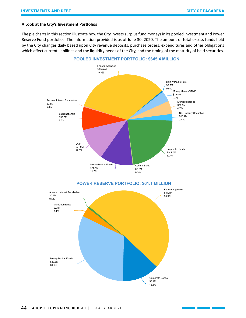# **A Look at the City's Investment Portfolios**

The pie charts in this section illustrate how the City invests surplus fund moneys in its pooled investment and Power Reserve Fund portfolios. The information provided is as of June 30, 2020. The amount of total excess funds held by the City changes daily based upon City revenue deposits, purchase orders, expenditures and other obligations which affect current liabilities and the liquidity needs of the City, and the timing of the maturity of held securities.

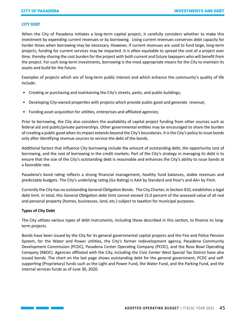#### **CITY DEBT**

When the City of Pasadena initiates a long-term capital project, it carefully considers whether to make this investment by expending current revenues or by borrowing. Using current revenues conserves debt capacity for harder times when borrowing may be necessary. However, if current revenues are used to fund large, long-term projects, funding for current services may be impacted. It is often equitable to spread the cost of a project over time, thereby sharing the cost burden for the project with both current and future taxpayers who will benefit from the project. For such long-term investments, borrowing is the most appropriate means for the City to maintain its assets and build for the future.

Examples of projects which are of long-term public interest and which enhance the community's quality of life include:

- Creating or purchasing and maintaining the City's streets, parks, and public buildings;
- Developing City-owned properties with projects which provide public good and generate revenue;
- Funding asset acquisition for utilities, enterprises and affiliated agencies;

Prior to borrowing, the City also considers the availability of capital project funding from other sources such as federal aid and public/private partnerships. Other governmental entities may be encouraged to share the burden of creating a public good when its impact extends beyond the City's boundaries. It is the City's policy to issue bonds only after identifying revenue sources to service the debt of the bonds.

Additional factors that influence City borrowing include the amount of outstanding debt, the opportunity cost of borrowing, and the cost of borrowing in the credit markets. Part of the City's strategy in managing its debt is to ensure that the size of the City's outstanding debt is reasonable and enhances the City's ability to issue bonds at a favorable rate.

Pasadena's bond rating reflects a strong financial management, healthy fund balances, stable revenues and predictable budgets. The City's underlying rating (Go Rating) is AAA by Standard and Poor's and AA+ by Fitch.

Currently the City has no outstanding General Obligation Bonds. The City Charter, in Section 910, establishes a legal debt limit. In total, this General Obligation debt limit cannot exceed 15.0 percent of the assessed value of all real and personal property (homes, businesses, land, etc.) subject to taxation for municipal purposes.

# **Types of City Debt**

The City utilizes various types of debt instruments, including those described in this section, to finance its longterm projects.

Bonds have been issued by the City for its general governmental capital projects and the Fire and Police Pension System, for the Water and Power utilities, the City's former redevelopment agency, Pasadena Community Development Commission (PCDC), Pasadena Center Operating Company (PCOC), and the Rose Bowl Operating Company (RBOC). Agencies affiliated with the City, including the Civic Center West Special Tax District have also issued bonds. The chart on the last page shows outstanding debt for the general government, PCDC and selfsupporting (Proprietary) funds such as the Light and Power Fund, the Water Fund, and the Parking Fund, and the internal services funds as of June 30, 2020.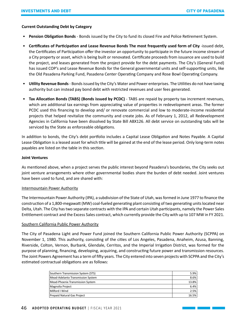# **Current Outstanding Debt by Category**

- **Pension Obligation Bonds** Bonds issued by the City to fund its closed Fire and Police Retirement System.
- **Certificates of Participation and Lease Revenue Bonds The most frequently used form of City** -issued debt, the Certificates of Participation offer the investor an opportunity to participate in the future income stream of a City property or asset, which is being built or renovated. Certificate proceeds from issuance are used to build the project, and leases generated from the project provide for the debt payments. The City's (General Fund) has issued COP's and Lease Revenue Bonds for the General governmental units and self-supporting units, like the Old Pasadena Parking Fund, Pasadena Center Operating Company and Rose Bowl Operating Company.
- **Utility Revenue Bonds** Bonds issued by the City's Water and Power enterprises. The Utilities do not have taxing authority but can instead pay bond debt with restricted revenues and user fees generated.
- **Tax Allocation Bonds (TABS) (Bonds issued by PCDC)** TABS are repaid by property tax increment revenues, which are additional tax earnings from appreciating value of properties in redevelopment areas. The former PCDC used this financing to develop and/ or renovate commercial and low to moderate-income residential projects that helped revitalize the community and create jobs. As of February 1, 2012, all Redevelopment Agencies in California have been dissolved by State Bill ABX126. All debt service on outstanding tabs will be serviced by the State as enforceable obligations.

In addition to bonds, the City's debt portfolio includes a Capital Lease Obligation and Notes Payable. A Capital Lease Obligation is a leased asset for which title will be gained at the end of the lease period. Only long-term notes payables are listed on the table in this section.

#### **Joint Ventures**

As mentioned above, when a project serves the public interest beyond Pasadena's boundaries, the City seeks out joint venture arrangements where other governmental bodies share the burden of debt needed. Joint ventures have been used to fund, and are shared with:

# Intermountain Power Authority

The Intermountain Power Authority (IPA), a subdivision of the State of Utah, was formed in June 1977 to finance the construction of a 1,800-megawatt (MW) coal-fueled generating plant consisting of two generating units located near Delta, Utah. The City has two separate contracts with the IPA and certain Utah participants, namely the Power Sales Entitlement contract and the Excess Sales contract, which currently provide the City with up to 107 MW in FY 2021.

# Southern California Public Power Authority

The City of Pasadena Light and Power Fund joined the Southern California Public Power Authority (SCPPA) on November 1, 1980. This authority, consisting of the cities of Los Angeles, Pasadena, Anaheim, Azusa, Banning, Riverside, Colton, Vernon, Burbank, Glendale, Cerritos, and the Imperial Irrigation District, was formed for the purpose of planning, financing, developing, acquiring, and constructing future power and transmission resources. The Joint Powers Agreement has a term of fifty years. The City entered into seven projects with SCPPA and the City's estimated contractual obligations are as follows:

| Southern Transmission System (STS) | 5.9%  |
|------------------------------------|-------|
| Mead-Adelanto Transmission System  | 8.6%  |
| Mead-Phoenix Transmission System   | 13.8% |
| Magnolia Project                   | 6.4%  |
| Milford I Wind                     | 2.5%  |
| Prepaid Natural Gas Project        | 16.5% |